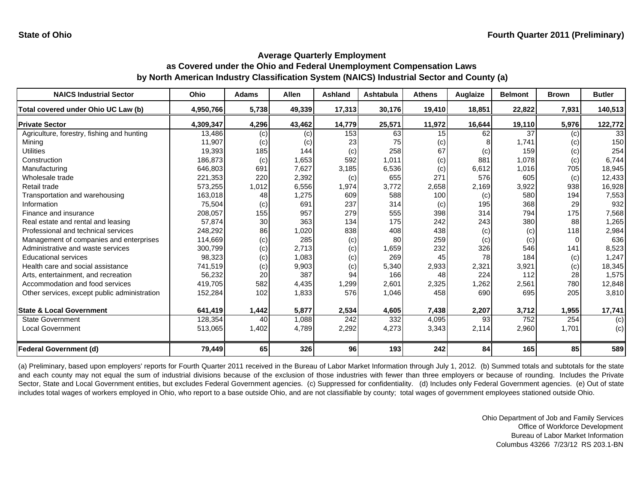| <b>NAICS Industrial Sector</b>               | Ohio      | <b>Adams</b> | Allen  | <b>Ashland</b> | <b>Ashtabula</b> | <b>Athens</b>   | Auglaize | <b>Belmont</b> | <b>Brown</b> | <b>Butler</b> |
|----------------------------------------------|-----------|--------------|--------|----------------|------------------|-----------------|----------|----------------|--------------|---------------|
| Total covered under Ohio UC Law (b)          | 4,950,766 | 5,738        | 49,339 | 17,313         | 30,176           | 19,410          | 18,851   | 22,822         | 7,931        | 140,513       |
| <b>Private Sector</b>                        | 4,309,347 | 4,296        | 43,462 | 14,779         | 25,571           | 11,972          | 16,644   | 19,110         | 5,976        | 122,772       |
| Agriculture, forestry, fishing and hunting   | 13,486    | (c)          | (c)    | 153            | 63               | 15 <sup>1</sup> | 62       | 37             | (c)          | 33            |
| Mining                                       | 11,907    | (c)          | (c)    | 23             | 75               | (c)             |          | 1,741          | (c)          | 150           |
| <b>Utilities</b>                             | 19,393    | 185          | 144    | (c)            | 258              | 67              | (c)      | 159            | (c)          | 254           |
| Construction                                 | 186,873   | (c)          | 1,653  | 592            | 1,011            | (c)             | 881      | 1,078          | (c)          | 6,744         |
| Manufacturing                                | 646,803   | 691          | 7,627  | 3,185          | 6,536            | (c)             | 6,612    | 1,016          | 705          | 18,945        |
| Wholesale trade                              | 221,353   | 220          | 2,392  | (c)            | 655              | 271             | 576      | 605            | (c)          | 12,433        |
| Retail trade                                 | 573,255   | 1,012        | 6,556  | 1,974          | 3,772            | 2,658           | 2,169    | 3,922          | 938          | 16,928        |
| Transportation and warehousing               | 163,018   | 48           | 1,275  | 609            | 588              | 100             | (c)      | 580            | 194          | 7,553         |
| Information                                  | 75,504    | (c)          | 691    | 237            | 314              | (c)             | 195      | 368            | 29           | 932           |
| Finance and insurance                        | 208,057   | 155          | 957    | 279            | 555              | 398             | 314      | 794            | 175          | 7,568         |
| Real estate and rental and leasing           | 57,874    | 30           | 363    | 134            | 175              | 242             | 243      | 380            | 88           | 1,265         |
| Professional and technical services          | 248,292   | 86           | 1,020  | 838            | 408              | 438             | (c)      | (c)            | 118          | 2,984         |
| Management of companies and enterprises      | 114,669   | (c)          | 285    | (c)            | 80               | 259             | (c)      | (c)            |              | 636           |
| Administrative and waste services            | 300,799   | (c)          | 2,713  | (c)            | 1,659            | 232             | 326      | 546            | 141          | 8,523         |
| <b>Educational services</b>                  | 98,323    | (c)          | 1,083  | (c)            | 269              | 45              | 78       | 184            | (c)          | 1,247         |
| Health care and social assistance            | 741,519   | (c)          | 9,903  | (c)            | 5,340            | 2,933           | 2,321    | 3,921          | (c)          | 18,345        |
| Arts, entertainment, and recreation          | 56,232    | 20           | 387    | 94             | 166              | 48              | 224      | 112            | 28           | 1,575         |
| Accommodation and food services              | 419,705   | 582          | 4,435  | 1,299          | 2,601            | 2,325           | 1,262    | 2,561          | 780          | 12,848        |
| Other services, except public administration | 152,284   | 102          | 1,833  | 576            | 1,046            | 458             | 690      | 695            | 205          | 3,810         |
| <b>State &amp; Local Government</b>          | 641,419   | 1,442        | 5,877  | 2,534          | 4,605            | 7,438           | 2,207    | 3,712          | 1,955        | 17,741        |
| <b>State Government</b>                      | 128,354   | 40           | 1,088  | 242            | 332              | 4,095           | 93       | 752            | 254          | (c)           |
| <b>Local Government</b>                      | 513,065   | 1,402        | 4,789  | 2,292          | 4,273            | 3,343           | 2,114    | 2,960          | 1,701        | (c)           |
| Federal Government (d)                       | 79,449    | 65           | 326    | 96             | 193              | 242             | 84       | 165            | 85           | 589           |

(a) Preliminary, based upon employers' reports for Fourth Quarter 2011 received in the Bureau of Labor Market Information through July 1, 2012. (b) Summed totals and subtotals for the state and each county may not equal the sum of industrial divisions because of the exclusion of those industries with fewer than three employers or because of rounding. Includes the Private Sector, State and Local Government entities, but excludes Federal Government agencies. (c) Suppressed for confidentiality. (d) Includes only Federal Government agencies. (e) Out of state includes total wages of workers employed in Ohio, who report to a base outside Ohio, and are not classifiable by county; total wages of government employees stationed outside Ohio.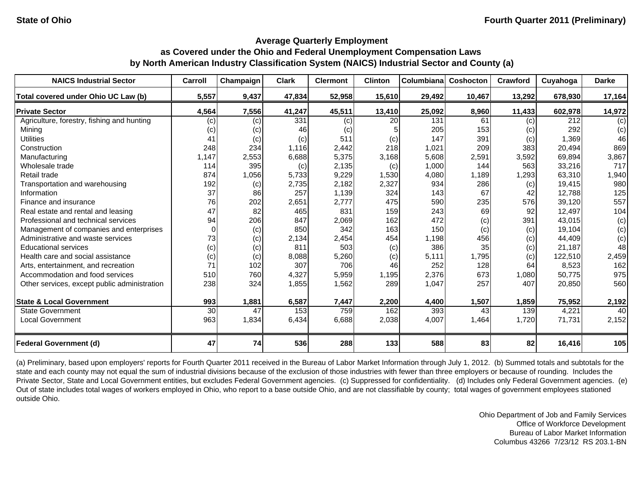| <b>NAICS Industrial Sector</b>               | Carroll  | Champaign | <b>Clark</b> | <b>Clermont</b> | <b>Clinton</b> | Columbianal | Coshocton | Crawford | Cuyahoga | <b>Darke</b> |
|----------------------------------------------|----------|-----------|--------------|-----------------|----------------|-------------|-----------|----------|----------|--------------|
| Total covered under Ohio UC Law (b)          | 5,557    | 9,437     | 47,834       | 52,958          | 15,610         | 29,492      | 10,467    | 13,292   | 678,930  | 17,164       |
| <b>Private Sector</b>                        | 4,564    | 7,556     | 41,247       | 45,511          | 13,410         | 25,092      | 8,960     | 11,433   | 602,978  | 14,972       |
| Agriculture, forestry, fishing and hunting   | (c)      | (c)       | 331          | (c)             | 20             | 131         | 61        | (c)      | 212      | (c)          |
| Mining                                       | (c)      | (c)       | 46           | (c)             |                | 205         | 153       | (c)      | 292      | (c)          |
| <b>Utilities</b>                             | 41       | (c)       | (c)          | 511             | (c)            | 147         | 391       | (c)      | 1,369    | 46           |
| Construction                                 | 248      | 234       | 1,116        | 2,442           | 218            | 1,021       | 209       | 383      | 20,494   | 869          |
| Manufacturing                                | 1,147    | 2,553     | 6,688        | 5,375           | 3,168          | 5,608       | 2,591     | 3,592    | 69,894   | 3,867        |
| Wholesale trade                              | 114      | 395       | (c)          | 2,135           | (c)            | 1,000       | 144       | 563      | 33,216   | 717          |
| Retail trade                                 | 874      | 1,056     | 5,733        | 9,229           | 1,530          | 4,080       | 1,189     | 1,293    | 63,310   | 1,940        |
| Transportation and warehousing               | 192      | (c)       | 2,735        | 2,182           | 2,327          | 934         | 286       | (c)      | 19,415   | 980          |
| Information                                  | 37       | 86        | 257          | 1,139           | 324            | 143         | 67        | 42       | 12,788   | 125          |
| Finance and insurance                        | 76       | 202       | 2,651        | 2,777           | 475            | 590         | 235       | 576      | 39,120   | 557          |
| Real estate and rental and leasing           | 47       | 82        | 465          | 831             | 159            | 243         | 69        | 92       | 12,497   | 104          |
| Professional and technical services          | 94       | 206       | 847          | 2,069           | 162            | 472         | (c)       | 391      | 43,015   | (c)          |
| Management of companies and enterprises      | $\Omega$ | (c)       | 850          | 342             | 163            | 150         | (c)       | (c)      | 19,104   | (c)          |
| Administrative and waste services            | 73       | (c)       | 2,134        | 2,454           | 454            | 1,198       | 456       | (c)      | 44,409   | (c)          |
| <b>Educational services</b>                  | (c)      | (c)       | 811          | 503             | (c)            | 386         | 35        | (c)      | 21,187   | 48           |
| Health care and social assistance            | (c)      | (c)       | 8,088        | 5,260           | (c)            | 5,111       | 1,795     | (c)      | 122,510  | 2,459        |
| Arts, entertainment, and recreation          | 71       | 102       | 307          | 706             | 46             | 252         | 128       | 64       | 8,523    | 162          |
| Accommodation and food services              | 510      | 760       | 4,327        | 5,959           | 1,195          | 2,376       | 673       | 1,080    | 50,775   | 975          |
| Other services, except public administration | 238      | 324       | 1,855        | 1,562           | 289            | 1,047       | 257       | 407      | 20,850   | 560          |
| <b>State &amp; Local Government</b>          | 993      | 1,881     | 6,587        | 7,447           | 2,200          | 4,400       | 1,507     | 1,859    | 75,952   | 2,192        |
| <b>State Government</b>                      | 30       | 47        | 153          | 759             | 162            | 393         | 43        | 139      | 4,221    | 40           |
| <b>Local Government</b>                      | 963      | 1,834     | 6,434        | 6,688           | 2,038          | 4,007       | 1,464     | 1,720    | 71,731   | 2,152        |
| <b>Federal Government (d)</b>                | 47       | 74        | 536          | 288             | 133            | 588         | 83        | 82       | 16,416   | 105          |

(a) Preliminary, based upon employers' reports for Fourth Quarter 2011 received in the Bureau of Labor Market Information through July 1, 2012. (b) Summed totals and subtotals for the state and each county may not equal the sum of industrial divisions because of the exclusion of those industries with fewer than three employers or because of rounding. Includes the Private Sector, State and Local Government entities, but excludes Federal Government agencies. (c) Suppressed for confidentiality. (d) Includes only Federal Government agencies. (e) Out of state includes total wages of workers employed in Ohio, who report to a base outside Ohio, and are not classifiable by county; total wages of government employees stationed outside Ohio.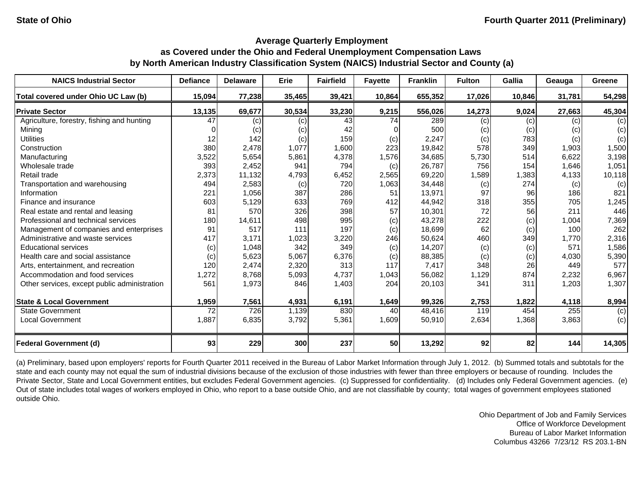| <b>NAICS Industrial Sector</b>               | <b>Defiance</b> | <b>Delaware</b> | Erie   | <b>Fairfield</b> | <b>Fayette</b> | <b>Franklin</b> | <b>Fulton</b> | Gallia | Geauga | Greene |
|----------------------------------------------|-----------------|-----------------|--------|------------------|----------------|-----------------|---------------|--------|--------|--------|
| Total covered under Ohio UC Law (b)          | 15,094          | 77,238          | 35,465 | 39,421           | 10,864         | 655,352         | 17,026        | 10,846 | 31,781 | 54,298 |
| <b>Private Sector</b>                        | 13,135          | 69,677          | 30,534 | 33,230           | 9,215          | 556,026         | 14,273        | 9,024  | 27,663 | 45,304 |
| Agriculture, forestry, fishing and hunting   | 47              | (c)             | (c)    | 43               | 74             | 289             | (c)           | (c)    | (c)    | (c)    |
| Mining                                       |                 | (c)             | (c)    | 42               |                | 500             | (c)           | (c)    | (c)    | (c)    |
| <b>Utilities</b>                             | 12              | 142             | (c)    | 159              | (c)            | 2,247           | (c)           | 783    | (c)    | (c)    |
| Construction                                 | 380             | 2,478           | 1,077  | 1,600            | 223            | 19,842          | 578           | 349    | 1,903  | 1,500  |
| Manufacturing                                | 3,522           | 5,654           | 5,861  | 4,378            | 1,576          | 34,685          | 5,730         | 514    | 6,622  | 3,198  |
| Wholesale trade                              | 393             | 2,452           | 941    | 794              | (c)            | 26,787          | 756           | 154    | 1,646  | 1,051  |
| Retail trade                                 | 2,373           | 11,132          | 4,793  | 6,452            | 2,565          | 69,220          | 1,589         | 1,383  | 4,133  | 10,118 |
| Transportation and warehousing               | 494             | 2,583           | (c)    | 720              | 1,063          | 34,448          | (c)           | 274    | (c)    | (c)    |
| Information                                  | 221             | 1,056           | 387    | 286              | 51             | 13,971          | 97            | 96     | 186    | 821    |
| Finance and insurance                        | 603             | 5,129           | 633    | 769              | 412            | 44,942          | 318           | 355    | 705    | 1,245  |
| Real estate and rental and leasing           | 81              | 570             | 326    | 398              | 57             | 10,301          | 72            | 56     | 211    | 446    |
| Professional and technical services          | 180             | 14,611          | 498    | 995              | (c)            | 43,278          | 222           | (c)    | 1,004  | 7,369  |
| Management of companies and enterprises      | 91              | 517             | 111    | 197              | (c)            | 18,699          | 62            | (c)    | 100    | 262    |
| Administrative and waste services            | 417             | 3,171           | 1,023  | 3,220            | 246            | 50,624          | 460           | 349    | 1,770  | 2,316  |
| <b>Educational services</b>                  | (c)             | 1,048           | 342    | 349              | (c)            | 14,207          | (c)           | (c)    | 571    | 1,586  |
| Health care and social assistance            | (c)             | 5,623           | 5,067  | 6,376            | (c)            | 88,385          | (c)           | (c)    | 4,030  | 5,390  |
| Arts, entertainment, and recreation          | 120             | 2,474           | 2,320  | 313              | 117            | 7,417           | 348           | 26     | 449    | 577    |
| Accommodation and food services              | 1,272           | 8,768           | 5,093  | 4,737            | 1,043          | 56,082          | 1,129         | 874    | 2,232  | 6,967  |
| Other services, except public administration | 561             | 1,973           | 846    | 1,403            | 204            | 20,103          | 341           | 311    | 1,203  | 1,307  |
| <b>State &amp; Local Government</b>          | 1,959           | 7,561           | 4,931  | 6,191            | 1,649          | 99,326          | 2,753         | 1,822  | 4,118  | 8,994  |
| <b>State Government</b>                      | 72              | 726             | 1,139  | 830              | 40             | 48,416          | 119           | 454    | 255    | (c)    |
| <b>Local Government</b>                      | 1,887           | 6,835           | 3,792  | 5,361            | 1,609          | 50,910          | 2,634         | 1,368  | 3,863  | (c)    |
| <b>Federal Government (d)</b>                | 93              | 229             | 300    | 237              | 50             | 13,292          | 92            | 82     | 144    | 14,305 |

(a) Preliminary, based upon employers' reports for Fourth Quarter 2011 received in the Bureau of Labor Market Information through July 1, 2012. (b) Summed totals and subtotals for the state and each county may not equal the sum of industrial divisions because of the exclusion of those industries with fewer than three employers or because of rounding. Includes the Private Sector, State and Local Government entities, but excludes Federal Government agencies. (c) Suppressed for confidentiality. (d) Includes only Federal Government agencies. (e) Out of state includes total wages of workers employed in Ohio, who report to a base outside Ohio, and are not classifiable by county; total wages of government employees stationed outside Ohio.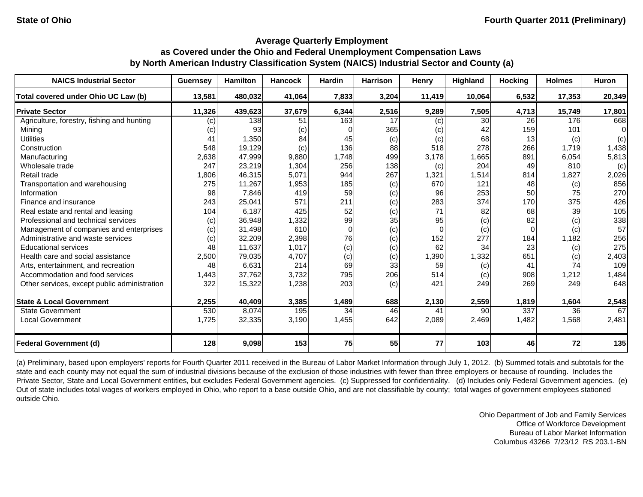| <b>NAICS Industrial Sector</b>               | <b>Guernsey</b> | <b>Hamilton</b> | <b>Hancock</b> | <b>Hardin</b> | <b>Harrison</b> | Henry    | Highland | <b>Hocking</b> | <b>Holmes</b> | <b>Huron</b> |
|----------------------------------------------|-----------------|-----------------|----------------|---------------|-----------------|----------|----------|----------------|---------------|--------------|
| Total covered under Ohio UC Law (b)          | 13,581          | 480,032         | 41,064         | 7,833         | 3,204           | 11,419   | 10,064   | 6,532          | 17,353        | 20,349       |
| <b>Private Sector</b>                        | 11,326          | 439,623         | 37,679         | 6,344         | 2,516           | 9,289    | 7,505    | 4,713          | 15,749        | 17,801       |
| Agriculture, forestry, fishing and hunting   | (c)             | 138             | 51             | 163           | 17              | (c)      | 30       | <b>26</b>      | 176           | 668          |
| Mining                                       | (c)             | 93              | (c)            | 0             | 365             | (c)      | 42       | 159            | 101           | $\Omega$     |
| <b>Utilities</b>                             | 41              | 1,350           | 84             | 45            | (c)             | (c)      | 68       | 13             | (c)           | (c)          |
| Construction                                 | 548             | 19,129          | (c)            | 136           | 88              | 518      | 278      | 266            | 1,719         | 1,438        |
| Manufacturing                                | 2,638           | 47,999          | 9,880          | 1,748         | 499             | 3,178    | 1,665    | 891            | 6,054         | 5,813        |
| Wholesale trade                              | 247             | 23,219          | 1,304          | 256           | 138             | (c)      | 204      | 49             | 810           | (c)          |
| Retail trade                                 | 1,806           | 46,315          | 5,071          | 944           | 267             | 1,321    | 1,514    | 814            | 1,827         | 2,026        |
| Transportation and warehousing               | 275             | 11,267          | 1,953          | 185           | (c)             | 670      | 121      | 48             | (c)           | 856          |
| Information                                  | 98              | 7,846           | 419            | 59            | (c)             | 96       | 253      | 50             | 75            | 270          |
| Finance and insurance                        | 243             | 25,041          | 571            | 211           | (c)             | 283      | 374      | 170            | 375           | 426          |
| Real estate and rental and leasing           | 104             | 6,187           | 425            | 52            | (c)             | 71       | 82       | 68             | 39            | 105          |
| Professional and technical services          | (c)             | 36,948          | 1,332          | 99            | 35              | 95       | (c)      | 82             | (c)           | 338          |
| Management of companies and enterprises      | (c)             | 31,498          | 610            | $\Omega$      | (c)             | $\Omega$ | (c)      | $\Omega$       | (c)           | 57           |
| Administrative and waste services            | (c)             | 32,209          | 2,398          | 76            | (c)             | 152      | 277      | 184            | 1,182         | 256          |
| <b>Educational services</b>                  | 48              | 11,637          | 1,017          | (c)           | (c)             | 62       | 34       | 23             | (c)           | 275          |
| Health care and social assistance            | 2,500           | 79,035          | 4,707          | (c)           | (c)             | 1,390    | 1,332    | 651            | (c)           | 2,403        |
| Arts, entertainment, and recreation          | 48              | 6,631           | 214            | 69            | 33              | 59       | (c)      | 41             | 74            | 109          |
| Accommodation and food services              | 1,443           | 37,762          | 3,732          | 795           | 206             | 514      | (c)      | 908            | 1,212         | 1,484        |
| Other services, except public administration | 322             | 15,322          | 1,238          | 203           | (c)             | 421      | 249      | 269            | 249           | 648          |
| <b>State &amp; Local Government</b>          | 2,255           | 40,409          | 3,385          | 1,489         | 688             | 2,130    | 2,559    | 1,819          | 1,604         | 2,548        |
| <b>State Government</b>                      | 530             | 8,074           | 195            | 34            | 46              | 41       | 90       | 337            | 36            | 67           |
| <b>Local Government</b>                      | 1,725           | 32,335          | 3,190          | 1,455         | 642             | 2,089    | 2,469    | 1,482          | 1,568         | 2,481        |
| <b>Federal Government (d)</b>                | 128             | 9,098           | 153            | 75            | 55              | 77       | 103      | 46             | 72            | 135          |

(a) Preliminary, based upon employers' reports for Fourth Quarter 2011 received in the Bureau of Labor Market Information through July 1, 2012. (b) Summed totals and subtotals for the state and each county may not equal the sum of industrial divisions because of the exclusion of those industries with fewer than three employers or because of rounding. Includes the Private Sector, State and Local Government entities, but excludes Federal Government agencies. (c) Suppressed for confidentiality. (d) Includes only Federal Government agencies. (e) Out of state includes total wages of workers employed in Ohio, who report to a base outside Ohio, and are not classifiable by county; total wages of government employees stationed outside Ohio.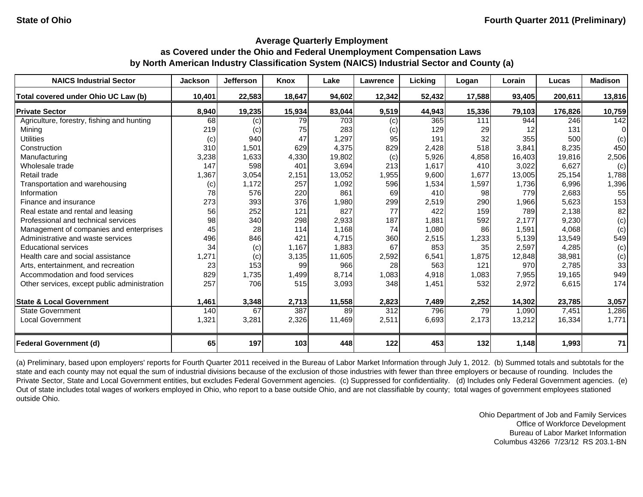| <b>NAICS Industrial Sector</b>               | <b>Jackson</b> | <b>Jefferson</b> | <b>Knox</b> | Lake   | Lawrence         | Licking | Logan  | Lorain | Lucas   | <b>Madison</b> |
|----------------------------------------------|----------------|------------------|-------------|--------|------------------|---------|--------|--------|---------|----------------|
| Total covered under Ohio UC Law (b)          | 10,401         | 22,583           | 18,647      | 94,602 | 12,342           | 52,432  | 17,588 | 93,405 | 200,611 | 13,816         |
| <b>Private Sector</b>                        | 8,940          | 19,235           | 15,934      | 83,044 | 9,519            | 44,943  | 15,336 | 79,103 | 176,826 | 10,759         |
| Agriculture, forestry, fishing and hunting   | 68             | (c)              | 79          | 703    | (c)              | 365     | 111    | 944    | 246     | 142            |
| Mining                                       | 219            | (c)              | 75          | 283    | (c)              | 129     | 29     | 12     | 131     | 0              |
| <b>Utilities</b>                             | (c)            | 940              | 47          | 1,297  | 95               | 191     | 32     | 355    | 500     | (c)            |
| Construction                                 | 310            | 1,501            | 629         | 4,375  | 829              | 2,428   | 518    | 3,841  | 8,235   | 450            |
| Manufacturing                                | 3,238          | 1,633            | 4,330       | 19,802 | (c)              | 5,926   | 4,858  | 16,403 | 19,816  | 2,506          |
| Wholesale trade                              | 147            | 598              | 401         | 3,694  | 213              | 1,617   | 410    | 3,022  | 6,627   | (c)            |
| Retail trade                                 | 1,367          | 3,054            | 2,151       | 13,052 | 1,955            | 9,600   | 1,677  | 13,005 | 25,154  | 1,788          |
| Transportation and warehousing               | (c)            | 1,172            | 257         | 1,092  | 596              | 1,534   | 1,597  | 1,736  | 6,996   | 1,396          |
| Information                                  | 78             | 576              | 220         | 861    | 69               | 410     | 98     | 779    | 2,683   | 55             |
| Finance and insurance                        | 273            | 393              | 376         | 1,980  | 299              | 2,519   | 290    | 1,966  | 5,623   | 153            |
| Real estate and rental and leasing           | 56             | 252              | 121         | 827    | 77               | 422     | 159    | 789    | 2,138   | 82             |
| Professional and technical services          | 98             | 340              | 298         | 2,933  | 187              | 1,881   | 592    | 2,177  | 9,230   | (c)            |
| Management of companies and enterprises      | 45             | 28               | 114         | 1,168  | 74               | 1,080   | 86     | 1,591  | 4,068   | (c)            |
| Administrative and waste services            | 496            | 846              | 421         | 4,715  | 360              | 2,515   | 1,233  | 5,139  | 13,549  | 549            |
| <b>Educational services</b>                  | 34             | (c)              | 1,167       | 1,883  | 67               | 853     | 35     | 2,597  | 4,285   | (c)            |
| Health care and social assistance            | 1,271          | (c)              | 3,135       | 11,605 | 2,592            | 6,541   | 1,875  | 12,848 | 38,981  | (c)            |
| Arts, entertainment, and recreation          | 23             | 153              | 99          | 966    | 28               | 563     | 121    | 970    | 2,785   | 33             |
| Accommodation and food services              | 829            | 1,735            | 1,499       | 8,714  | 1,083            | 4,918   | 1,083  | 7,955  | 19,165  | 949            |
| Other services, except public administration | 257            | 706              | 515         | 3,093  | 348              | 1,451   | 532    | 2,972  | 6,615   | 174            |
| <b>State &amp; Local Government</b>          | 1,461          | 3,348            | 2,713       | 11,558 | 2,823            | 7,489   | 2,252  | 14,302 | 23,785  | 3,057          |
| <b>State Government</b>                      | 140            | 67               | 387         | 89     | $\overline{312}$ | 796     | 79     | 1,090  | 7,451   | 1,286          |
| <b>Local Government</b>                      | 1,321          | 3,281            | 2,326       | 11,469 | 2,511            | 6,693   | 2,173  | 13,212 | 16,334  | 1,771          |
| <b>Federal Government (d)</b>                | 65             | 197              | 103         | 448    | 122              | 453     | 132    | 1,148  | 1,993   | 71             |

(a) Preliminary, based upon employers' reports for Fourth Quarter 2011 received in the Bureau of Labor Market Information through July 1, 2012. (b) Summed totals and subtotals for the state and each county may not equal the sum of industrial divisions because of the exclusion of those industries with fewer than three employers or because of rounding. Includes the Private Sector, State and Local Government entities, but excludes Federal Government agencies. (c) Suppressed for confidentiality. (d) Includes only Federal Government agencies. (e) Out of state includes total wages of workers employed in Ohio, who report to a base outside Ohio, and are not classifiable by county; total wages of government employees stationed outside Ohio.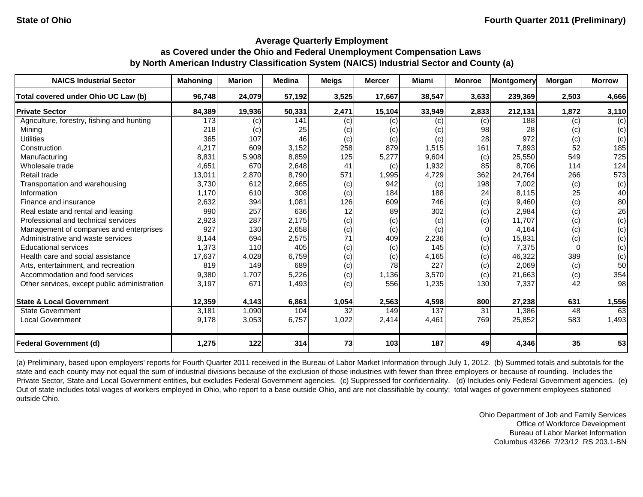| <b>NAICS Industrial Sector</b>               | <b>Mahoning</b> | <b>Marion</b> | <b>Medina</b> | <b>Meigs</b> | <b>Mercer</b> | <b>Miami</b> | <b>Monroe</b> | <b>Montgomery</b> | Morgan | <b>Morrow</b> |
|----------------------------------------------|-----------------|---------------|---------------|--------------|---------------|--------------|---------------|-------------------|--------|---------------|
| Total covered under Ohio UC Law (b)          | 96,748          | 24,079        | 57,192        | 3,525        | 17,667        | 38,547       | 3,633         | 239,369           | 2,503  | 4,666         |
| <b>Private Sector</b>                        | 84,389          | 19,936        | 50,331        | 2,471        | 15,104        | 33,949       | 2,833         | 212,131           | 1,872  | 3,110         |
| Agriculture, forestry, fishing and hunting   | 173             | (c)           | 141           | (c)          | (c)           | (c)          | (c)           | 188               | (c)    | (c)           |
| Mining                                       | 218             | (c)           | 25            | (c)          | (c)           | (c)          | 98            | 28                | (c)    | (c)           |
| <b>Utilities</b>                             | 365             | 107           | 46            | (c)          | (c)           | (c)          | 28            | 972               | (c)    | (c)           |
| Construction                                 | 4,217           | 609           | 3,152         | 258          | 879           | 1,515        | 161           | 7,893             | 52     | 185           |
| Manufacturing                                | 8,831           | 5,908         | 8,859         | 125          | 5,277         | 9,604        | (c)           | 25,550            | 549    | 725           |
| Wholesale trade                              | 4,651           | 670           | 2,648         | 41           | (c)           | 1,932        | 85            | 8,706             | 114    | 124           |
| Retail trade                                 | 13,011          | 2,870         | 8,790         | 571          | 1,995         | 4,729        | 362           | 24,764            | 266    | 573           |
| Transportation and warehousing               | 3,730           | 612           | 2,665         | (c)          | 942           | (c)          | 198           | 7,002             | (c)    | (c)           |
| Information                                  | 1,170           | 610           | 308           | (c)          | 184           | 188          | 24            | 8,115             | 25     | 40            |
| Finance and insurance                        | 2,632           | 394           | 1,081         | 126          | 609           | 746          | (c)           | 9,460             | (c)    | 80            |
| Real estate and rental and leasing           | 990             | 257           | 636           | 12           | 89            | 302          | (c)           | 2,984             | (c)    | 26            |
| Professional and technical services          | 2,923           | 287           | 2,175         | (c)          | (c)           | (c)          | (c)           | 11,707            | (c)    | (c)           |
| Management of companies and enterprises      | 927             | 130           | 2,658         | (c)          | (c)           | (c)          | $\Omega$      | 4,164             | (c)    | (c)           |
| Administrative and waste services            | 8,144           | 694           | 2,575         | 71           | 409           | 2,236        | (c)           | 15,831            | (c)    | (c)           |
| <b>Educational services</b>                  | 1,373           | 110           | 405           | (c)          | (c)           | 145          | (c)           | 7,375             |        | (c)           |
| Health care and social assistance            | 17,637          | 4,028         | 6,759         | (c)          | (c)           | 4,165        | (c)           | 46,322            | 389    | (c)           |
| Arts, entertainment, and recreation          | 819             | 149           | 689           | (c)          | 78            | 227          | (c)           | 2,069             | (c)    | 50            |
| Accommodation and food services              | 9,380           | 1,707         | 5,226         | (c)          | 1,136         | 3,570        | (c)           | 21,663            | (c)    | 354           |
| Other services, except public administration | 3,197           | 671           | 1,493         | (c)          | 556           | 1,235        | 130           | 7,337             | 42     | 98            |
| <b>State &amp; Local Government</b>          | 12,359          | 4,143         | 6,861         | 1,054        | 2,563         | 4,598        | 800           | 27,238            | 631    | 1,556         |
| <b>State Government</b>                      | 3,181           | 1,090         | 104           | 32           | 149           | 137          | 31            | 1,386             | 48     | 63            |
| <b>Local Government</b>                      | 9,178           | 3,053         | 6,757         | 1,022        | 2,414         | 4,461        | 769           | 25,852            | 583    | 1,493         |
| <b>Federal Government (d)</b>                | 1,275           | 122           | 314           | 73           | 103           | 187          | 49            | 4,346             | 35     | 53            |

(a) Preliminary, based upon employers' reports for Fourth Quarter 2011 received in the Bureau of Labor Market Information through July 1, 2012. (b) Summed totals and subtotals for the state and each county may not equal the sum of industrial divisions because of the exclusion of those industries with fewer than three employers or because of rounding. Includes the Private Sector, State and Local Government entities, but excludes Federal Government agencies. (c) Suppressed for confidentiality. (d) Includes only Federal Government agencies. (e) Out of state includes total wages of workers employed in Ohio, who report to a base outside Ohio, and are not classifiable by county; total wages of government employees stationed outside Ohio.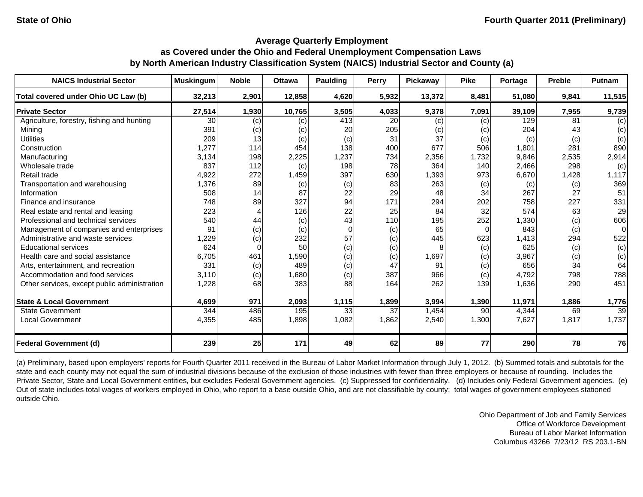| <b>NAICS Industrial Sector</b>               | <b>Muskingum</b> | <b>Noble</b> | <b>Ottawa</b> | Paulding | Perry | <b>Pickawav</b> | <b>Pike</b> | Portage | <b>Preble</b> | Putnam          |
|----------------------------------------------|------------------|--------------|---------------|----------|-------|-----------------|-------------|---------|---------------|-----------------|
| Total covered under Ohio UC Law (b)          | 32,213           | 2,901        | 12,858        | 4,620    | 5,932 | 13,372          | 8,481       | 51.080  | 9,841         | 11,515          |
| <b>Private Sector</b>                        | 27,514           | 1,930        | 10,765        | 3,505    | 4,033 | 9,378           | 7,091       | 39,109  | 7,955         | 9,739           |
| Agriculture, forestry, fishing and hunting   | 30               | (c)          | (c)           | 413      | 20    | (c)             | $\left( $   | 129     | 81            | (c)             |
| Mining                                       | 391              | (c)          | (c)           | 20       | 205   | (c)             | (c)         | 204     | 43            | (c)             |
| <b>Utilities</b>                             | 209              | 13           | (c)           | (c)      | 31    | 37              | (c)         | (c)     | (c)           | (c)             |
| Construction                                 | 1,277            | 114          | 454           | 138      | 400   | 677             | 506         | 1,801   | 281           | 890             |
| Manufacturing                                | 3,134            | 198          | 2,225         | 1,237    | 734   | 2,356           | 1,732       | 9,846   | 2,535         | 2,914           |
| Wholesale trade                              | 837              | 112          | (c)           | 198      | 78    | 364             | 140         | 2,466   | 298           | (c)             |
| Retail trade                                 | 4,922            | 272          | 1,459         | 397      | 630   | 1,393           | 973         | 6,670   | 1,428         | 1,117           |
| Transportation and warehousing               | 1,376            | 89           | (c)           | (c)      | 83    | 263             | (c)         | (c)     | (c)           | 369             |
| Information                                  | 508              | 14           | 87            | 22       | 29    | 48              | 34          | 267     | 27            | 51              |
| Finance and insurance                        | 748              | 89           | 327           | 94       | 171   | 294             | 202         | 758     | 227           | 331             |
| Real estate and rental and leasing           | 223              |              | 126           | 22       | 25    | 84              | 32          | 574     | 63            | 29              |
| Professional and technical services          | 540              | 44           | (c)           | 43       | 110   | 195             | 252         | 1,330   | (c)           | 606             |
| Management of companies and enterprises      | 91               | (c)          | (c)           | 0        | (c)   | 65              | $\Omega$    | 843     | (c)           | 0               |
| Administrative and waste services            | 1,229            | (c)          | 232           | 57       | (c)   | 445             | 623         | 1,413   | 294           | 522             |
| <b>Educational services</b>                  | 624              | $\Omega$     | 50            | (c)      | (c)   |                 | (c)         | 625     | (c)           | (c)             |
| Health care and social assistance            | 6,705            | 461          | 1,590         | (c)      | (c)   | 1,697           | (c)         | 3,967   | (c)           | (c)             |
| Arts, entertainment, and recreation          | 331              | (c)          | 489           | (c)      | 47    | 91              | (c)         | 656     | 34            | 64              |
| Accommodation and food services              | 3.110            | (c)          | 1,680         | (c)      | 387   | 966             | (c)         | 4,792   | 798           | 788             |
| Other services, except public administration | 1,228            | 68           | 383           | 88       | 164   | 262             | 139         | 1,636   | 290           | 451             |
| <b>State &amp; Local Government</b>          | 4,699            | 971          | 2,093         | 1,115    | 1,899 | 3,994           | 1,390       | 11,971  | 1,886         | 1,776           |
| <b>State Government</b>                      | 344              | 486          | 195           | 33       | 37    | 1,454           | 90          | 4,344   | 69            | $\overline{39}$ |
| <b>Local Government</b>                      | 4,355            | 485          | 1,898         | 1,082    | 1,862 | 2,540           | 1,300       | 7,627   | 1,817         | 1,737           |
| <b>Federal Government (d)</b>                | 239              | 25           | 171           | 49       | 62    | 89              | 77          | 290     | 78            | 76              |

(a) Preliminary, based upon employers' reports for Fourth Quarter 2011 received in the Bureau of Labor Market Information through July 1, 2012. (b) Summed totals and subtotals for the state and each county may not equal the sum of industrial divisions because of the exclusion of those industries with fewer than three employers or because of rounding. Includes the Private Sector, State and Local Government entities, but excludes Federal Government agencies. (c) Suppressed for confidentiality. (d) Includes only Federal Government agencies. (e) Out of state includes total wages of workers employed in Ohio, who report to a base outside Ohio, and are not classifiable by county; total wages of government employees stationed outside Ohio.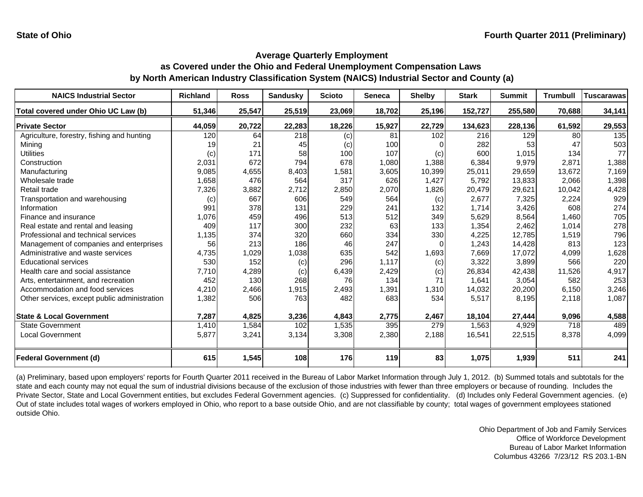| <b>NAICS Industrial Sector</b>               | <b>Richland</b> | <b>Ross</b> | <b>Sandusky</b> | <b>Scioto</b> | Seneca | <b>Shelby</b> | <b>Stark</b> | <b>Summit</b> | <b>Trumbull</b> | <b>Tuscarawas</b> |
|----------------------------------------------|-----------------|-------------|-----------------|---------------|--------|---------------|--------------|---------------|-----------------|-------------------|
| Total covered under Ohio UC Law (b)          | 51,346          | 25,547      | 25,519          | 23,069        | 18,702 | 25,196        | 152,727      | 255,580       | 70,688          | 34,141            |
| <b>Private Sector</b>                        | 44,059          | 20,722      | 22,283          | 18,226        | 15,927 | 22,729        | 134,623      | 228,136       | 61,592          | 29,553            |
| Agriculture, forestry, fishing and hunting   | 120             | 64          | 218             | (c)           | 81     | 102           | 216          | 129           | 80              | 135               |
| Mining                                       | 19              | 21          | 45              | (c)           | 100    |               | 282          | 53            | 47              | 503               |
| <b>Utilities</b>                             | (c)             | 171         | 58              | 100           | 107    | (c)           | 600          | 1,015         | 134             | 77                |
| Construction                                 | 2,031           | 672         | 794             | 678           | 1,080  | 1,388         | 6,384        | 9,979         | 2,871           | 1,388             |
| Manufacturing                                | 9,085           | 4,655       | 8,403           | 1,581         | 3,605  | 10,399        | 25,011       | 29,659        | 13,672          | 7,169             |
| Wholesale trade                              | 1,658           | 476         | 564             | 317           | 626    | 1,427         | 5,792        | 13,833        | 2,066           | 1,398             |
| Retail trade                                 | 7,326           | 3,882       | 2.712           | 2,850         | 2,070  | 1,826         | 20,479       | 29,621        | 10,042          | 4,428             |
| Transportation and warehousing               | (c)             | 667         | 606             | 549           | 564    | (c)           | 2,677        | 7,325         | 2,224           | 929               |
| Information                                  | 991             | 378         | 131             | 229           | 241    | 132           | 1.714        | 3,426         | 608             | 274               |
| Finance and insurance                        | 1,076           | 459         | 496             | 513           | 512    | 349           | 5,629        | 8,564         | 1,460           | 705               |
| Real estate and rental and leasing           | 409             | 117         | 300             | 232           | 63     | 133           | 1,354        | 2,462         | 1,014           | 278               |
| Professional and technical services          | 1,135           | 374         | 320             | 660           | 334    | 330           | 4,225        | 12,785        | 1,519           | 796               |
| Management of companies and enterprises      | 56              | 213         | 186             | 46            | 247    |               | 1,243        | 14,428        | 813             | 123               |
| Administrative and waste services            | 4,735           | 1,029       | 1,038           | 635           | 542    | 1,693         | 7,669        | 17,072        | 4,099           | 1,628             |
| <b>Educational services</b>                  | 530             | 152         | (c)             | 296           | 1.117  | (c)           | 3,322        | 3,899         | 566             | 220               |
| Health care and social assistance            | 7,710           | 4,289       | (c)             | 6,439         | 2,429  | (c)           | 26,834       | 42,438        | 11,526          | 4,917             |
| Arts, entertainment, and recreation          | 452             | 130         | 268             | 76            | 134    | 71            | 1,641        | 3,054         | 582             | 253               |
| Accommodation and food services              | 4,210           | 2,466       | 1,915           | 2,493         | 1,391  | 1,310         | 14,032       | 20,200        | 6,150           | 3,246             |
| Other services, except public administration | 1,382           | 506         | 763             | 482           | 683    | 534           | 5,517        | 8,195         | 2,118           | 1,087             |
| <b>State &amp; Local Government</b>          | 7,287           | 4,825       | 3,236           | 4,843         | 2,775  | 2,467         | 18,104       | 27,444        | 9,096           | 4,588             |
| <b>State Government</b>                      | 1,410           | 1,584       | 102             | 1,535         | 395    | 279           | 1,563        | 4,929         | 718             | 489               |
| <b>Local Government</b>                      | 5,877           | 3,241       | 3,134           | 3,308         | 2,380  | 2,188         | 16,541       | 22,515        | 8,378           | 4,099             |
| Federal Government (d)                       | 615             | 1,545       | 108             | 176           | 119    | 83            | 1,075        | 1,939         | 511             | 241               |

(a) Preliminary, based upon employers' reports for Fourth Quarter 2011 received in the Bureau of Labor Market Information through July 1, 2012. (b) Summed totals and subtotals for the state and each county may not equal the sum of industrial divisions because of the exclusion of those industries with fewer than three employers or because of rounding. Includes the Private Sector, State and Local Government entities, but excludes Federal Government agencies. (c) Suppressed for confidentiality. (d) Includes only Federal Government agencies. (e) Out of state includes total wages of workers employed in Ohio, who report to a base outside Ohio, and are not classifiable by county; total wages of government employees stationed outside Ohio.